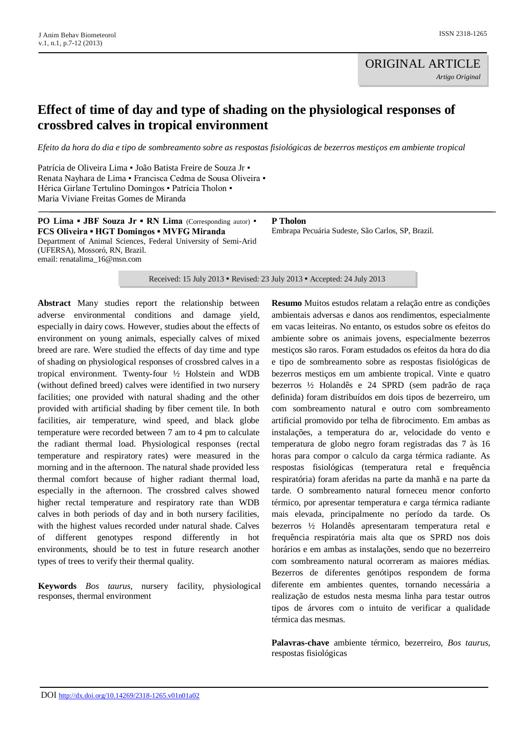# **Effect of time of day and type of shading on the physiological responses of crossbred calves in tropical environment**

*Efeito da hora do dia e tipo de sombreamento sobre as respostas fisiológicas de bezerros mestiços em ambiente tropical*

Patrícia de Oliveira Lima · João Batista Freire de Souza Jr · Renata Nayhara de Lima ▪ Francisca Cedma de Sousa Oliveira ▪ Hérica Girlane Tertulino Domingos ▪ Patrícia Tholon ▪ Maria Viviane Freitas Gomes de Miranda

**PO Lima • JBF Souza Jr • RN Lima** (Corresponding autor) • **FCS Oliveira ▪ HGT Domingos ▪ MVFG Miranda** Department of Animal Sciences, Federal University of Semi-Arid (UFERSA), Mossoró, RN, Brazil. email: renatalima\_16@msn.com

**P Tholon** Embrapa Pecuária Sudeste, São Carlos, SP, Brazil.

Received: 15 July 2013 ▪ Revised: 23 July 2013 ▪ Accepted: 24 July 2013

**Abstract** Many studies report the relationship between adverse environmental conditions and damage yield, especially in dairy cows. However, studies about the effects of environment on young animals, especially calves of mixed breed are rare. Were studied the effects of day time and type of shading on physiological responses of crossbred calves in a tropical environment. Twenty-four ½ Holstein and WDB (without defined breed) calves were identified in two nursery facilities; one provided with natural shading and the other provided with artificial shading by fiber cement tile. In both facilities, air temperature, wind speed, and black globe temperature were recorded between 7 am to 4 pm to calculate the radiant thermal load. Physiological responses (rectal temperature and respiratory rates) were measured in the morning and in the afternoon. The natural shade provided less thermal comfort because of higher radiant thermal load, especially in the afternoon. The crossbred calves showed higher rectal temperature and respiratory rate than WDB calves in both periods of day and in both nursery facilities, with the highest values recorded under natural shade. Calves of different genotypes respond differently in hot environments, should be to test in future research another types of trees to verify their thermal quality.

**Keywords** *Bos taurus*, nursery facility, physiological responses, thermal environment

**Resumo** Muitos estudos relatam a relação entre as condições ambientais adversas e danos aos rendimentos, especialmente em vacas leiteiras. No entanto, os estudos sobre os efeitos do ambiente sobre os animais jovens, especialmente bezerros mestiços são raros. Foram estudados os efeitos da hora do dia e tipo de sombreamento sobre as respostas fisiológicas de bezerros mestiços em um ambiente tropical. Vinte e quatro bezerros ½ Holandês e 24 SPRD (sem padrão de raça definida) foram distribuídos em dois tipos de bezerreiro, um com sombreamento natural e outro com sombreamento artificial promovido por telha de fibrocimento. Em ambas as instalações, a temperatura do ar, velocidade do vento e temperatura de globo negro foram registradas das 7 às 16 horas para compor o calculo da carga térmica radiante. As respostas fisiológicas (temperatura retal e frequência respiratória) foram aferidas na parte da manhã e na parte da tarde. O sombreamento natural forneceu menor conforto térmico, por apresentar temperatura e carga térmica radiante mais elevada, principalmente no período da tarde. Os bezerros ½ Holandês apresentaram temperatura retal e frequência respiratória mais alta que os SPRD nos dois horários e em ambas as instalações, sendo que no bezerreiro com sombreamento natural ocorreram as maiores médias. Bezerros de diferentes genótipos respondem de forma diferente em ambientes quentes, tornando necessária a realização de estudos nesta mesma linha para testar outros tipos de árvores com o intuito de verificar a qualidade térmica das mesmas.

**Palavras-chave** ambiente térmico, bezerreiro, *Bos taurus*, respostas fisiológicas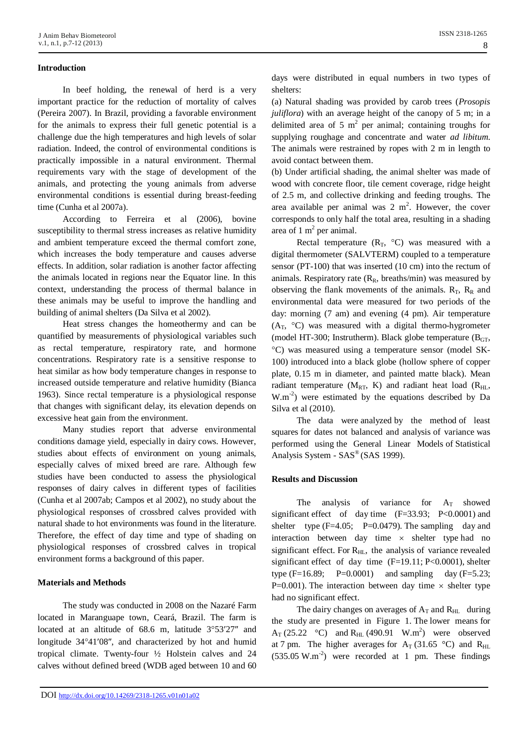### **Introduction**

In beef holding, the renewal of herd is a very important practice for the reduction of mortality of calves (Pereira 2007). In Brazil, providing a favorable environment for the animals to express their full genetic potential is a challenge due the high temperatures and high levels of solar radiation. Indeed, the control of environmental conditions is practically impossible in a natural environment. Thermal requirements vary with the stage of development of the animals, and protecting the young animals from adverse environmental conditions is essential during breast-feeding time (Cunha et al 2007a).

According to Ferreira et al (2006), bovine susceptibility to thermal stress increases as relative humidity and ambient temperature exceed the thermal comfort zone, which increases the body temperature and causes adverse effects. In addition, solar radiation is another factor affecting the animals located in regions near the Equator line. In this context, understanding the process of thermal balance in these animals may be useful to improve the handling and building of animal shelters (Da Silva et al 2002).

Heat stress changes the homeothermy and can be quantified by measurements of physiological variables such as rectal temperature, respiratory rate, and hormone concentrations. Respiratory rate is a sensitive response to heat similar as how body temperature changes in response to increased outside temperature and relative humidity (Bianca 1963). Since rectal temperature is a physiological response that changes with significant delay, its elevation depends on excessive heat gain from the environment.

Many studies report that adverse environmental conditions damage yield, especially in dairy cows. However, studies about effects of environment on young animals, especially calves of mixed breed are rare. Although few studies have been conducted to assess the physiological responses of dairy calves in different types of facilities (Cunha et al 2007ab; Campos et al 2002), no study about the physiological responses of crossbred calves provided with natural shade to hot environments was found in the literature. Therefore, the effect of day time and type of shading on physiological responses of crossbred calves in tropical environment forms a background of this paper.

## **Materials and Methods**

The study was conducted in 2008 on the Nazaré Farm located in Maranguape town, Ceará, Brazil. The farm is located at an altitude of  $68.6$  m, latitude  $3^{\circ}53'27''$  and longitude 34°41′08″, and characterized by hot and humid tropical climate. Twenty-four ½ Holstein calves and 24 calves without defined breed (WDB aged between 10 and 60

days were distributed in equal numbers in two types of shelters:

(a) Natural shading was provided by carob trees (*Prosopis juliflora*) with an average height of the canopy of 5 m; in a delimited area of 5  $m^2$  per animal; containing troughs for supplying roughage and concentrate and water *ad libitum*. The animals were restrained by ropes with 2 m in length to avoid contact between them.

(b) Under artificial shading, the animal shelter was made of wood with concrete floor, tile cement coverage, ridge height of 2.5 m, and collective drinking and feeding troughs. The area available per animal was  $2 \text{ m}^2$ . However, the cover corresponds to only half the total area, resulting in a shading area of  $1 \text{ m}^2$  per animal.

Rectal temperature  $(R_T, °C)$  was measured with a digital thermometer (SALVTERM) coupled to a temperature sensor (PT-100) that was inserted (10 cm) into the rectum of animals. Respiratory rate  $(R_R, breaths/min)$  was measured by observing the flank movements of the animals.  $R_T$ ,  $R_R$  and environmental data were measured for two periods of the day: morning (7 am) and evening (4 pm). Air temperature  $(A_T, \,^{\circ}C)$  was measured with a digital thermo-hygrometer (model HT-300; Instrutherm). Black globe temperature  $(B<sub>GT</sub>)$ , C) was measured using a temperature sensor (model SK-100) introduced into a black globe (hollow sphere of copper plate, 0.15 m in diameter, and painted matte black). Mean radiant temperature  $(M_{RT}, K)$  and radiant heat load  $(R_{HI}, R_{HI})$ W.m<sup>-2</sup>) were estimated by the equations described by Da Silva et al (2010).

The data were analyzed by the method of least squares for dates not balanced and analysis of variance was performed using the General Linear Models of Statistical Analysis System - SAS® (SAS 1999).

## **Results and Discussion**

The analysis of variance for  $A_T$  showed significant effect of day time  $(F=33.93; P<0.0001)$  and shelter type  $(F=4.05; P=0.0479)$ . The sampling day and interaction between day time  $\times$  shelter type had no significant effect. For  $R_{HL}$ , the analysis of variance revealed significant effect of day time  $(F=19.11; P<0.0001)$ , shelter type  $(F=16.89; P=0.0001)$  and sampling day  $(F=5.23; P=0.0001)$ P=0.001). The interaction between day time  $\times$  shelter type had no significant effect.

The dairy changes on averages of  $A_T$  and  $R_{HL}$  during the study are presented in Figure 1. The lower means for  $A_T$  (25.22 °C) and  $R_{HL}$  (490.91 W.m<sup>2</sup>) were observed at 7 pm. The higher averages for  $A_T$  (31.65 °C) and  $R_{HL}$  $(535.05 \text{ W.m}^{-2})$  were recorded at 1 pm. These findings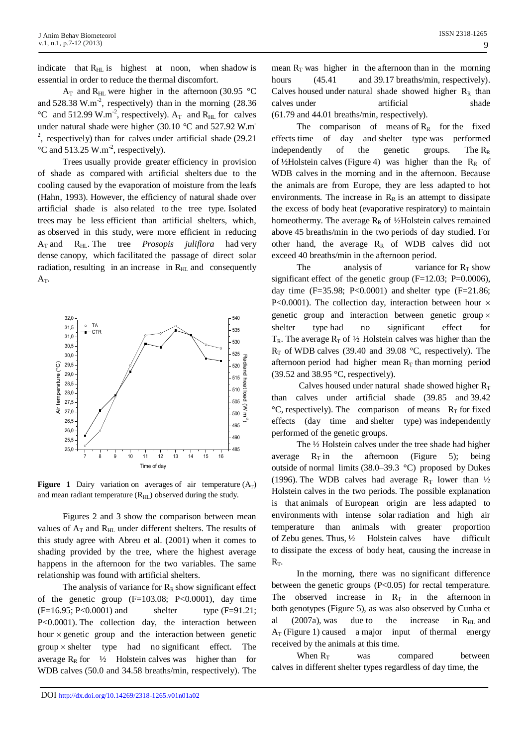indicate that  $R_{HL}$  is highest at noon, when shadow is essential in order to reduce the thermal discomfort.

 $A_T$  and  $R_{HL}$  were higher in the afternoon (30.95 °C and 528.38 W.m<sup>-2</sup>, respectively) than in the morning  $(28.36$ °C and 512.99 W.m<sup>-2</sup>, respectively).  $A_T$  and  $R_{HL}$  for calves under natural shade were higher (30.10 °C and 527.92 W.m<sup>-</sup> <sup>2</sup>, respectively) than for calves under artificial shade  $(29.21)$  $\rm{^{\circ}C}$  and 513.25 W.m<sup>-2</sup>, respectively).

Trees usually provide greater efficiency in provision of shade as compared with artificial shelters due to the cooling caused by the evaporation of moisture from the leafs (Hahn, 1993). However, the efficiency of natural shade over artificial shade is also related to the tree type. Isolated trees may be less efficient than artificial shelters, which, as observed in this study, were more efficient in reducing A<sub>T</sub> and R<sub>HL</sub>. The tree *Prosopis juliflora* had very dense canopy, which facilitated the passage of direct solar radiation, resulting in an increase in  $R<sub>HL</sub>$  and consequently A<sub>T</sub>.



**Figure** 1 Dairy variation on averages of air temperature  $(A_T)$ and mean radiant temperature  $(R<sub>HL</sub>)$  observed during the study.

Figures 2 and 3 show the comparison between mean values of  $A_T$  and  $R_{HI}$  under different shelters. The results of this study agree with Abreu et al. (2001) when it comes to shading provided by the tree, where the highest average happens in the afternoon for the two variables. The same relationship was found with artificial shelters.

The analysis of variance for  $R_R$  show significant effect of the genetic group  $(F=103.08; P<0.0001)$ , day time  $(F=16.95; P<0.0001)$  and shelter type  $(F=91.21;$ P<0.0001). The collection day, the interaction between hour  $\times$  genetic group and the interaction between genetic  $group \times shelf$  type had no significant effect. The average  $R_R$  for  $\frac{1}{2}$  Holstein calves was higher than for WDB calves (50.0 and 34.58 breaths/min, respectively). The

mean  $R_T$  was higher in the afternoon than in the morning hours (45.41 and 39.17 breaths/min, respectively). Calves housed under natural shade showed higher  $R_R$  than calves under artificial shade (61.79 and 44.01 breaths/min, respectively).

The comparison of means of  $R_R$  for the fixed effects time of day and shelter type was performed independently of the genetic groups. The  $R_R$ of ½Holstein calves (Figure 4) was higher than the  $R_R$  of WDB calves in the morning and in the afternoon. Because the animals are from Europe, they are less adapted to hot environments. The increase in  $R_R$  is an attempt to dissipate the excess of body heat (evaporative respiratory) to maintain homeothermy. The average  $R_R$  of ½Holstein calves remained above 45 breaths/min in the two periods of day studied. For other hand, the average  $R_R$  of WDB calves did not exceed 40 breaths/min in the afternoon period.

The analysis of variance for  $R_T$  show significant effect of the genetic group  $(F=12.03; P=0.0006)$ , day time  $(F=35.98; P<0.0001)$  and shelter type  $(F=21.86; P<0.0001)$ P<0.0001). The collection day, interaction between hour  $\times$ genetic group and interaction between genetic group type had no significant effect for  $T_R$ . The average  $R_T$  of  $\frac{1}{2}$  Holstein calves was higher than the  $R_T$  of WDB calves (39.40 and 39.08 °C, respectively). The afternoon period had higher mean  $R<sub>T</sub>$  than morning period  $(39.52 \text{ and } 38.95 \text{ °C},$  respectively).

Calves housed under natural shade showed higher  $R_T$ than calves under artificial shade (39.85 and 39.42  ${}^{\circ}C$ , respectively). The comparison of means  $R_T$  for fixed effects (day time and shelter type) was independently performed of the genetic groups.

The ½ Holstein calves under the tree shade had higher average  $R_T$  in the afternoon (Figure 5); being outside of normal limits (38.0–39.3 °C) proposed by Dukes (1996). The WDB calves had average  $R_T$  lower than  $\frac{1}{2}$ Holstein calves in the two periods. The possible explanation is that animals of European origin are less adapted to environments with intense solar radiation and high air temperature than animals with greater proportion of Zebu genes. Thus, ½ Holstein calves have difficult to dissipate the excess of body heat, causing the increase in  $R_T$ .

In the morning, there was no significant difference between the genetic groups (P<0.05) for rectal temperature. The observed increase in  $R_T$  in the afternoon in both genotypes (Figure 5), as was also observed by Cunha et al  $(2007a)$ , was due to the increase in R<sub>HL</sub> and  $A_T$  (Figure 1) caused a major input of thermal energy received by the animals at this time.

When  $R_T$  was compared between calves in different shelter types regardless of day time, the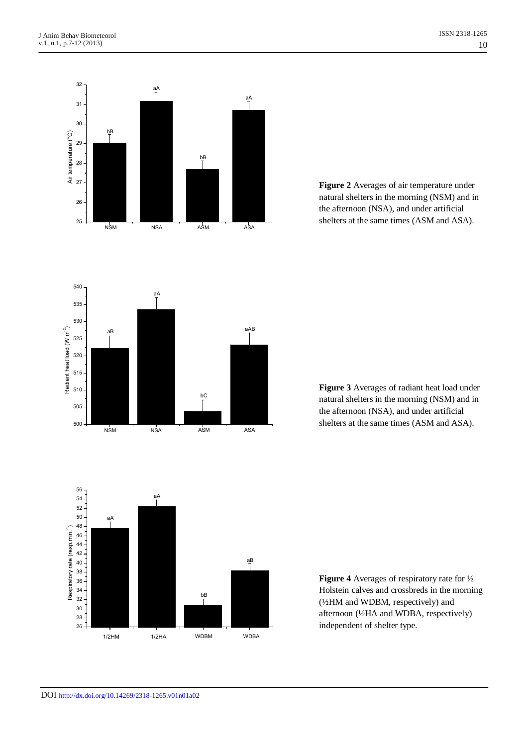

**Figure 2** Averages of air temperature under natural shelters in the morning (NSM) and in the afternoon (NSA), and under artificial shelters at the same times (ASM and ASA).



**Figure 3** Averages of radiant heat load under natural shelters in the morning (NSM) and in the afternoon (NSA), and under artificial shelters at the same times (ASM and ASA).



**Figure 4** Averages of respiratory rate for ½ Holstein calves and crossbreds in the morning (½HM and WDBM, respectively) and afternoon (½HA and WDBA, respectively) independent of shelter type.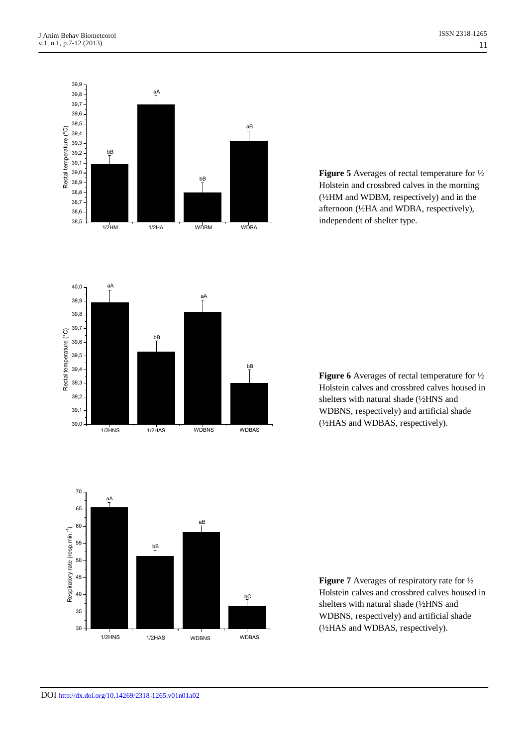

**Figure 5** Averages of rectal temperature for ½ Holstein and crossbred calves in the morning (½HM and WDBM, respectively) and in the afternoon (½HA and WDBA, respectively), independent of shelter type.



**Figure 6** Averages of rectal temperature for ½ Holstein calves and crossbred calves housed in shelters with natural shade (½HNS and WDBNS, respectively) and artificial shade (½HAS and WDBAS, respectively).



**Figure 7** Averages of respiratory rate for ½ Holstein calves and crossbred calves housed in shelters with natural shade (½HNS and WDBNS, respectively) and artificial shade (½HAS and WDBAS, respectively).